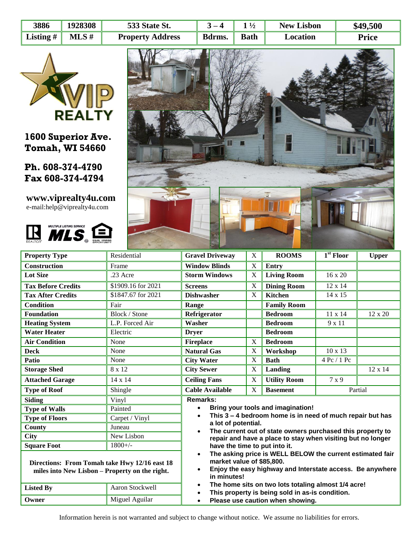| 3886        | 1928308  | 533 State St.           | $\mathbf{Z} = \mathbf{\Delta}$ | $\frac{1}{2}$ | <b>New Lisbon</b> | \$49,500     |
|-------------|----------|-------------------------|--------------------------------|---------------|-------------------|--------------|
| Listing $#$ | $MLS \#$ | <b>Property Address</b> | Bdrms.                         | <b>Bath</b>   | Location          | <b>Price</b> |



**1600 Superior Ave. Tomah, WI 54660**

**Ph. 608-374-4790 Fax 608-374-4794**

**www.viprealty4u.com** e-mail:help@viprealty4u.com





| <b>Property Type</b>                                                                            | Residential                                                                                                                                                                     | <b>Gravel Driveway</b>                                                                                                                                                   | X           | <b>ROOMS</b>        | $1st$ Floor    | <b>Upper</b>   |  |  |
|-------------------------------------------------------------------------------------------------|---------------------------------------------------------------------------------------------------------------------------------------------------------------------------------|--------------------------------------------------------------------------------------------------------------------------------------------------------------------------|-------------|---------------------|----------------|----------------|--|--|
| <b>Construction</b>                                                                             | Frame                                                                                                                                                                           | <b>Window Blinds</b>                                                                                                                                                     | $\mathbf X$ | Entry               |                |                |  |  |
| <b>Lot Size</b>                                                                                 | .23 Acre                                                                                                                                                                        | <b>Storm Windows</b>                                                                                                                                                     | X           | <b>Living Room</b>  | $16 \times 20$ |                |  |  |
| <b>Tax Before Credits</b>                                                                       | \$1909.16 for 2021                                                                                                                                                              | <b>Screens</b>                                                                                                                                                           | X           | <b>Dining Room</b>  | 12 x 14        |                |  |  |
| <b>Tax After Credits</b>                                                                        | \$1847.67 for 2021                                                                                                                                                              | <b>Dishwasher</b>                                                                                                                                                        | X           | Kitchen             | 14 x 15        |                |  |  |
| <b>Condition</b>                                                                                | Fair                                                                                                                                                                            | Range                                                                                                                                                                    |             | <b>Family Room</b>  |                |                |  |  |
| <b>Foundation</b>                                                                               | Block / Stone                                                                                                                                                                   | Refrigerator                                                                                                                                                             |             | <b>Bedroom</b>      | 11 x 14        | 12 x 20        |  |  |
| <b>Heating System</b>                                                                           | L.P. Forced Air                                                                                                                                                                 | Washer                                                                                                                                                                   |             | <b>Bedroom</b>      | 9 x 11         |                |  |  |
| <b>Water Heater</b>                                                                             | Electric                                                                                                                                                                        | <b>Dryer</b>                                                                                                                                                             |             | <b>Bedroom</b>      |                |                |  |  |
| <b>Air Condition</b>                                                                            | None                                                                                                                                                                            | <b>Fireplace</b>                                                                                                                                                         | X           | <b>Bedroom</b>      |                |                |  |  |
| <b>Deck</b>                                                                                     | None                                                                                                                                                                            | <b>Natural Gas</b>                                                                                                                                                       | X           | Workshop            | $10 \times 13$ |                |  |  |
| Patio                                                                                           | None                                                                                                                                                                            | <b>City Water</b>                                                                                                                                                        | X           | <b>Bath</b>         | 4 Pc / 1 Pc    |                |  |  |
| <b>Storage Shed</b>                                                                             | 8 x 12                                                                                                                                                                          | <b>City Sewer</b>                                                                                                                                                        | X           | Landing             |                | $12 \times 14$ |  |  |
| <b>Attached Garage</b>                                                                          | 14 x 14                                                                                                                                                                         | <b>Ceiling Fans</b>                                                                                                                                                      | X           | <b>Utility Room</b> | 7 x 9          |                |  |  |
| <b>Type of Roof</b>                                                                             | Shingle                                                                                                                                                                         | <b>Cable Available</b>                                                                                                                                                   | X           | <b>Basement</b>     | Partial        |                |  |  |
| <b>Siding</b><br>Vinyl                                                                          |                                                                                                                                                                                 | <b>Remarks:</b><br>Bring your tools and imagination!<br>$\bullet$                                                                                                        |             |                     |                |                |  |  |
| Painted<br><b>Type of Walls</b>                                                                 |                                                                                                                                                                                 |                                                                                                                                                                          |             |                     |                |                |  |  |
| <b>Type of Floors</b>                                                                           | Carpet / Vinyl                                                                                                                                                                  | This 3 - 4 bedroom home is in need of much repair but has<br>$\bullet$<br>a lot of potential.<br>The current out of state owners purchased this property to<br>$\bullet$ |             |                     |                |                |  |  |
| <b>County</b>                                                                                   | Juneau                                                                                                                                                                          |                                                                                                                                                                          |             |                     |                |                |  |  |
| <b>City</b>                                                                                     | New Lisbon                                                                                                                                                                      | repair and have a place to stay when visiting but no longer<br>have the time to put into it.                                                                             |             |                     |                |                |  |  |
| <b>Square Foot</b>                                                                              | $1800+/-$                                                                                                                                                                       |                                                                                                                                                                          |             |                     |                |                |  |  |
| Directions: From Tomah take Hwy 12/16 east 18<br>miles into New Lisbon - Property on the right. | The asking price is WELL BELOW the current estimated fair<br>market value of \$85,800.<br>Enjoy the easy highway and Interstate access. Be anywhere<br>$\bullet$<br>in minutes! |                                                                                                                                                                          |             |                     |                |                |  |  |
| <b>Listed By</b>                                                                                | Aaron Stockwell                                                                                                                                                                 | The home sits on two lots totaling almost 1/4 acre!<br>$\bullet$<br>This property is being sold in as-is condition.<br>$\bullet$                                         |             |                     |                |                |  |  |
| Owner                                                                                           | Miguel Aguilar                                                                                                                                                                  | Please use caution when showing.<br>$\bullet$                                                                                                                            |             |                     |                |                |  |  |

Information herein is not warranted and subject to change without notice. We assume no liabilities for errors.